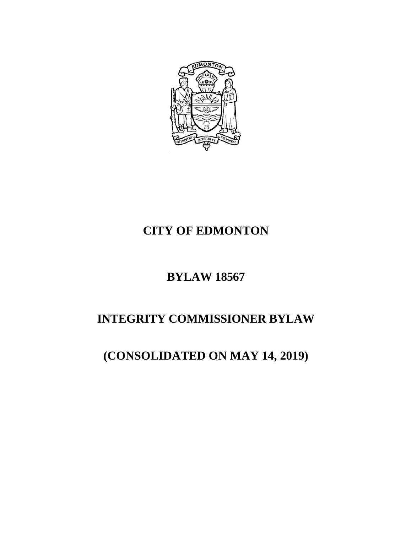

### **CITY OF EDMONTON**

### **BYLAW 18567**

# **INTEGRITY COMMISSIONER BYLAW**

## **(CONSOLIDATED ON MAY 14, 2019)**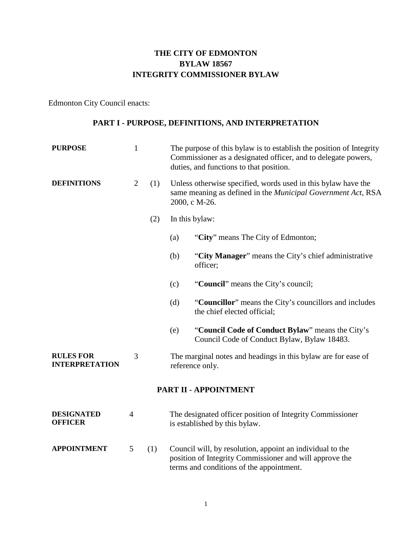### **THE CITY OF EDMONTON BYLAW 18567 INTEGRITY COMMISSIONER BYLAW**

Edmonton City Council enacts:

#### **PART I - PURPOSE, DEFINITIONS, AND INTERPRETATION**

| <b>PURPOSE</b>                            | $\mathbf{1}$   |     | The purpose of this bylaw is to establish the position of Integrity<br>Commissioner as a designated officer, and to delegate powers,<br>duties, and functions to that position. |  |  |  |
|-------------------------------------------|----------------|-----|---------------------------------------------------------------------------------------------------------------------------------------------------------------------------------|--|--|--|
| <b>DEFINITIONS</b>                        | $\overline{2}$ | (1) | Unless otherwise specified, words used in this bylaw have the<br>same meaning as defined in the <i>Municipal Government Act</i> , RSA<br>2000, c M-26.                          |  |  |  |
|                                           |                | (2) | In this bylaw:                                                                                                                                                                  |  |  |  |
|                                           |                |     | "City" means The City of Edmonton;<br>(a)                                                                                                                                       |  |  |  |
|                                           |                |     | (b)<br>"City Manager" means the City's chief administrative<br>officer;                                                                                                         |  |  |  |
|                                           |                |     | "Council" means the City's council;<br>(c)                                                                                                                                      |  |  |  |
|                                           |                |     | (d)<br>"Councillor" means the City's councillors and includes<br>the chief elected official;                                                                                    |  |  |  |
|                                           |                |     | "Council Code of Conduct Bylaw" means the City's<br>(e)<br>Council Code of Conduct Bylaw, Bylaw 18483.                                                                          |  |  |  |
| <b>RULES FOR</b><br><b>INTERPRETATION</b> | 3              |     | The marginal notes and headings in this bylaw are for ease of<br>reference only.                                                                                                |  |  |  |
| PART II - APPOINTMENT                     |                |     |                                                                                                                                                                                 |  |  |  |
| <b>DESIGNATED</b><br><b>OFFICER</b>       | $\overline{4}$ |     | The designated officer position of Integrity Commissioner<br>is established by this bylaw.                                                                                      |  |  |  |
| <b>APPOINTMENT</b>                        | 5              | (1) | Council will, by resolution, appoint an individual to the<br>position of Integrity Commissioner and will approve the<br>terms and conditions of the appointment.                |  |  |  |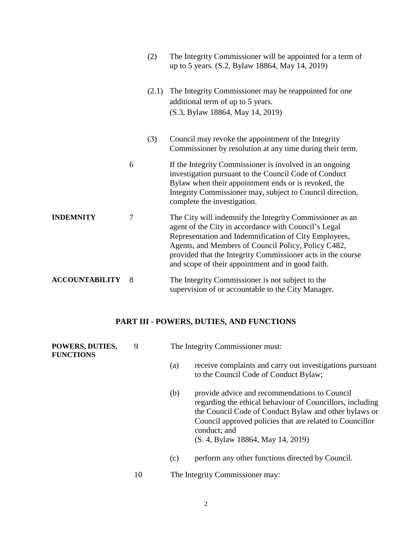|                       |   | (2)   | The Integrity Commissioner will be appointed for a term of<br>up to 5 years. (S.2, Bylaw 18864, May 14, 2019)                                                                                                                                                                                                                                        |
|-----------------------|---|-------|------------------------------------------------------------------------------------------------------------------------------------------------------------------------------------------------------------------------------------------------------------------------------------------------------------------------------------------------------|
|                       |   | (2.1) | The Integrity Commissioner may be reappointed for one<br>additional term of up to 5 years.<br>(S.3, Bylaw 18864, May 14, 2019)                                                                                                                                                                                                                       |
|                       |   | (3)   | Council may revoke the appointment of the Integrity<br>Commissioner by resolution at any time during their term.                                                                                                                                                                                                                                     |
|                       | 6 |       | If the Integrity Commissioner is involved in an ongoing<br>investigation pursuant to the Council Code of Conduct<br>Bylaw when their appointment ends or is revoked, the<br>Integrity Commissioner may, subject to Council direction,<br>complete the investigation.                                                                                 |
| <b>INDEMNITY</b>      | 7 |       | The City will indemnify the Integrity Commissioner as an<br>agent of the City in accordance with Council's Legal<br>Representation and Indemnification of City Employees,<br>Agents, and Members of Council Policy, Policy C482,<br>provided that the Integrity Commissioner acts in the course<br>and scope of their appointment and in good faith. |
| <b>ACCOUNTABILITY</b> | 8 |       | The Integrity Commissioner is not subject to the<br>supervision of or accountable to the City Manager.                                                                                                                                                                                                                                               |

### **PART III - POWERS, DUTIES, AND FUNCTIONS**

| POWERS, DUTIES,<br><b>FUNCTIONS</b> | 9  | The Integrity Commissioner must: |                                                                                                                                                                                                                                                                                      |  |
|-------------------------------------|----|----------------------------------|--------------------------------------------------------------------------------------------------------------------------------------------------------------------------------------------------------------------------------------------------------------------------------------|--|
|                                     |    | (a)                              | receive complaints and carry out investigations pursuant<br>to the Council Code of Conduct Bylaw;                                                                                                                                                                                    |  |
|                                     |    | (b)                              | provide advice and recommendations to Council<br>regarding the ethical behaviour of Councillors, including<br>the Council Code of Conduct Bylaw and other bylaws or<br>Council approved policies that are related to Councillor<br>conduct; and<br>(S. 4, Bylaw 18864, May 14, 2019) |  |
|                                     |    | (c)                              | perform any other functions directed by Council.                                                                                                                                                                                                                                     |  |
|                                     | 10 |                                  | The Integrity Commissioner may:                                                                                                                                                                                                                                                      |  |